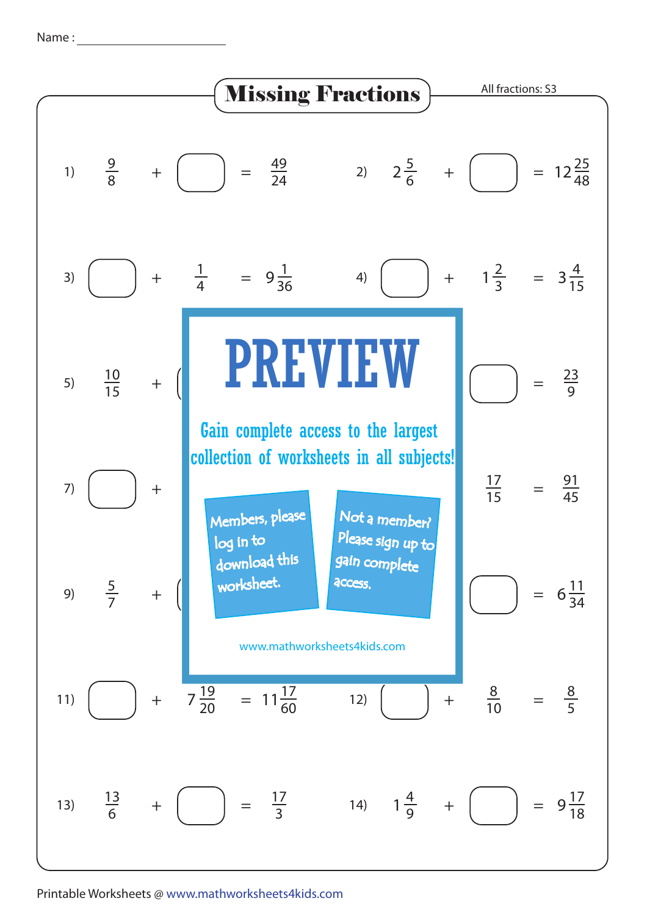